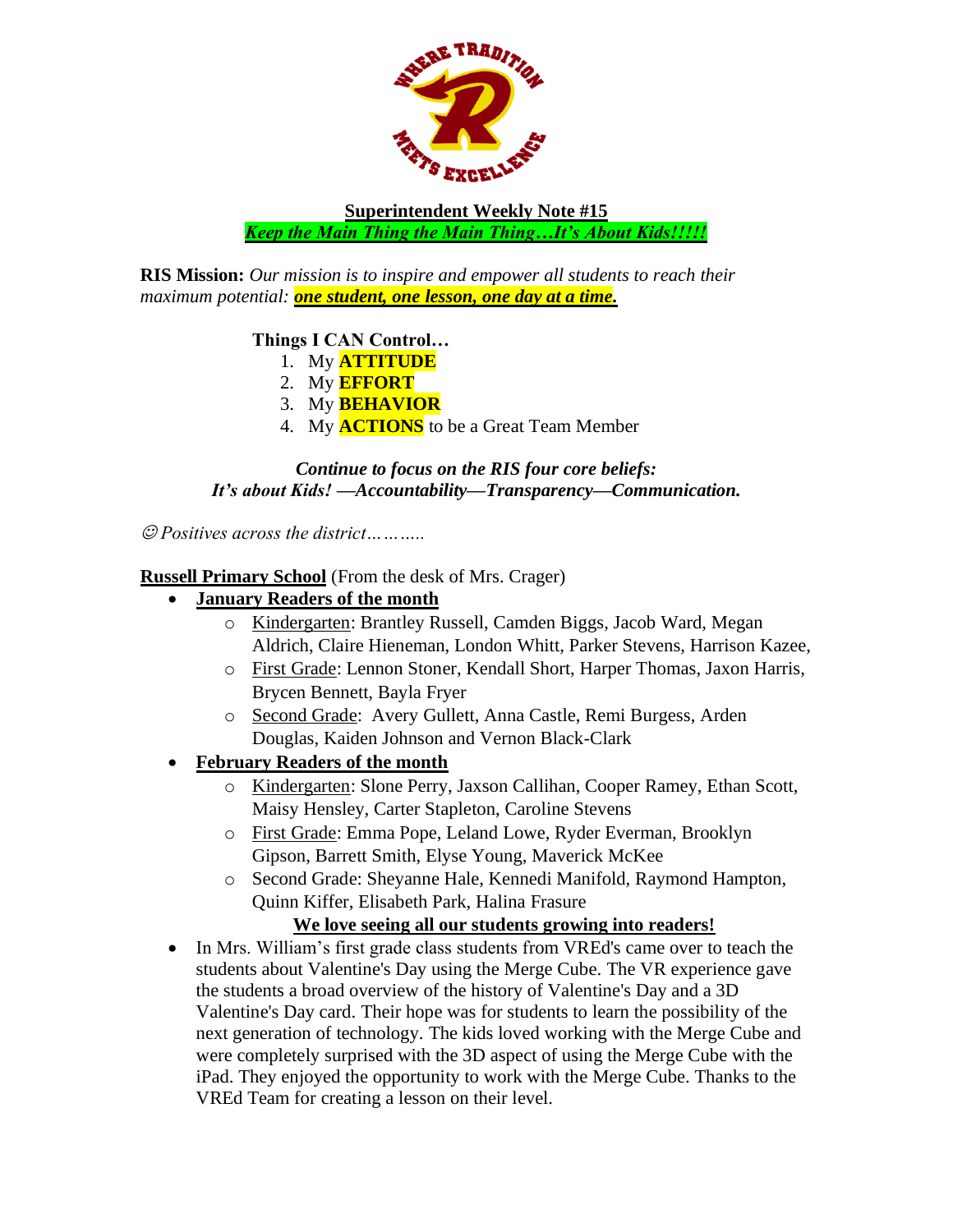

**Superintendent Weekly Note #15** *Keep the Main Thing the Main Thing…It's About Kids!!!!!*

**RIS Mission:** *Our mission is to inspire and empower all students to reach their maximum potential: one student, one lesson, one day at a time.*

### **Things I CAN Control…**

- 1. My **ATTITUDE**
- 2. My **EFFORT**
- 3. My **BEHAVIOR**
- 4. My **ACTIONS** to be a Great Team Member

*Continue to focus on the RIS four core beliefs: It's about Kids! —Accountability—Transparency—Communication.*

☺ *Positives across the district………..*

#### **Russell Primary School** (From the desk of Mrs. Crager)

- **January Readers of the month**
	- o Kindergarten: Brantley Russell, Camden Biggs, Jacob Ward, Megan Aldrich, Claire Hieneman, London Whitt, Parker Stevens, Harrison Kazee,
	- o First Grade: Lennon Stoner, Kendall Short, Harper Thomas, Jaxon Harris, Brycen Bennett, Bayla Fryer
	- o Second Grade: Avery Gullett, Anna Castle, Remi Burgess, Arden Douglas, Kaiden Johnson and Vernon Black-Clark
- **February Readers of the month**
	- o Kindergarten: Slone Perry, Jaxson Callihan, Cooper Ramey, Ethan Scott, Maisy Hensley, Carter Stapleton, Caroline Stevens
	- o First Grade: Emma Pope, Leland Lowe, Ryder Everman, Brooklyn Gipson, Barrett Smith, Elyse Young, Maverick McKee
	- o Second Grade: Sheyanne Hale, Kennedi Manifold, Raymond Hampton, Quinn Kiffer, Elisabeth Park, Halina Frasure

### **We love seeing all our students growing into readers!**

• In Mrs. William's first grade class students from VREd's came over to teach the students about Valentine's Day using the Merge Cube. The VR experience gave the students a broad overview of the history of Valentine's Day and a 3D Valentine's Day card. Their hope was for students to learn the possibility of the next generation of technology. The kids loved working with the Merge Cube and were completely surprised with the 3D aspect of using the Merge Cube with the iPad. They enjoyed the opportunity to work with the Merge Cube. Thanks to the VREd Team for creating a lesson on their level.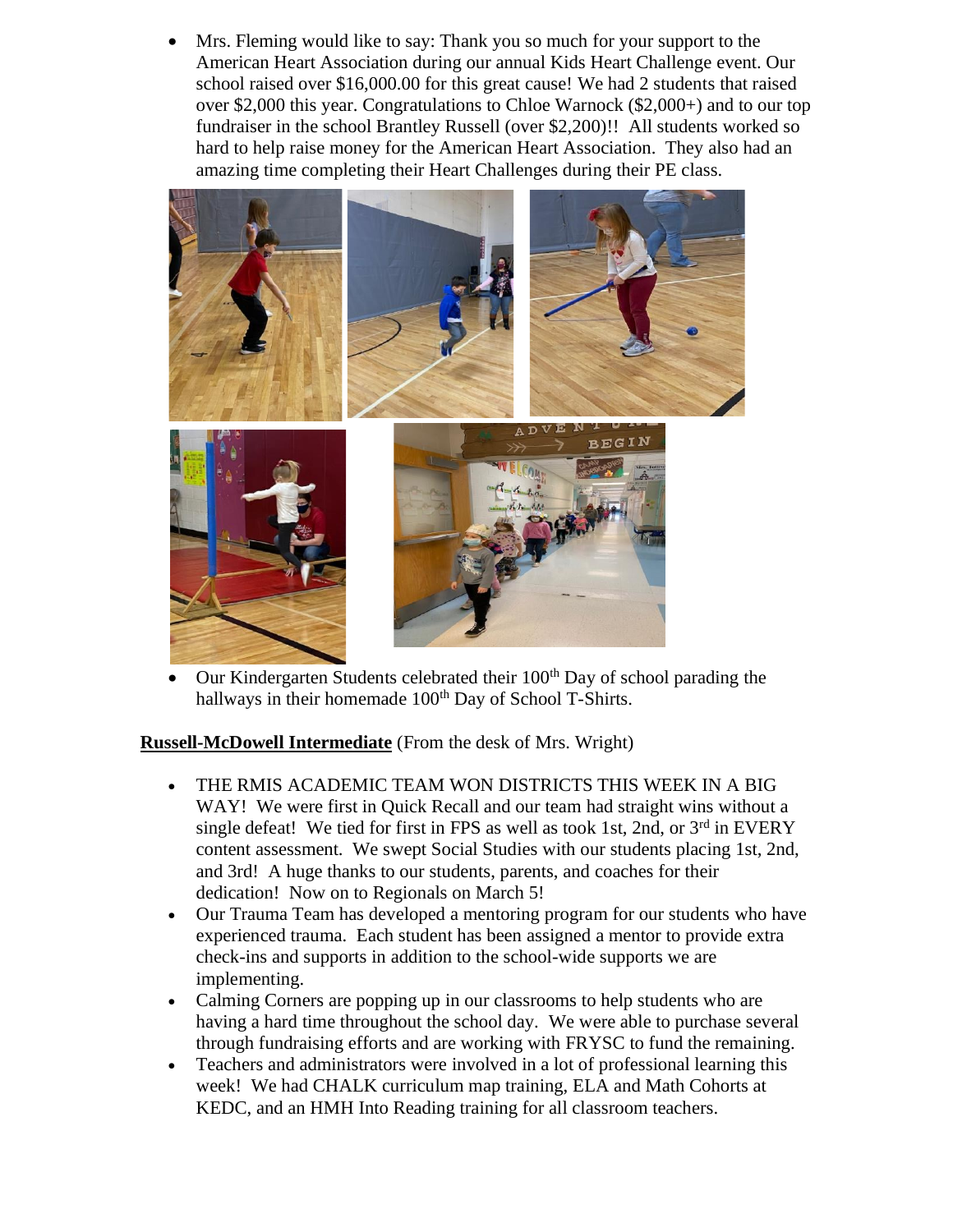Mrs. Fleming would like to say: Thank you so much for your support to the American Heart Association during our annual Kids Heart Challenge event. Our school raised over \$16,000.00 for this great cause! We had 2 students that raised over \$2,000 this year. Congratulations to Chloe Warnock (\$2,000+) and to our top fundraiser in the school Brantley Russell (over \$2,200)!! All students worked so hard to help raise money for the American Heart Association. They also had an amazing time completing their Heart Challenges during their PE class.



• Our Kindergarten Students celebrated their 100<sup>th</sup> Day of school parading the hallways in their homemade 100<sup>th</sup> Day of School T-Shirts.

**Russell-McDowell Intermediate** (From the desk of Mrs. Wright)

- THE RMIS ACADEMIC TEAM WON DISTRICTS THIS WEEK IN A BIG WAY! We were first in Quick Recall and our team had straight wins without a single defeat! We tied for first in FPS as well as took 1st, 2nd, or  $3<sup>rd</sup>$  in EVERY content assessment. We swept Social Studies with our students placing 1st, 2nd, and 3rd! A huge thanks to our students, parents, and coaches for their dedication! Now on to Regionals on March 5!
- Our Trauma Team has developed a mentoring program for our students who have experienced trauma. Each student has been assigned a mentor to provide extra check-ins and supports in addition to the school-wide supports we are implementing.
- Calming Corners are popping up in our classrooms to help students who are having a hard time throughout the school day. We were able to purchase several through fundraising efforts and are working with FRYSC to fund the remaining.
- Teachers and administrators were involved in a lot of professional learning this week! We had CHALK curriculum map training, ELA and Math Cohorts at KEDC, and an HMH Into Reading training for all classroom teachers.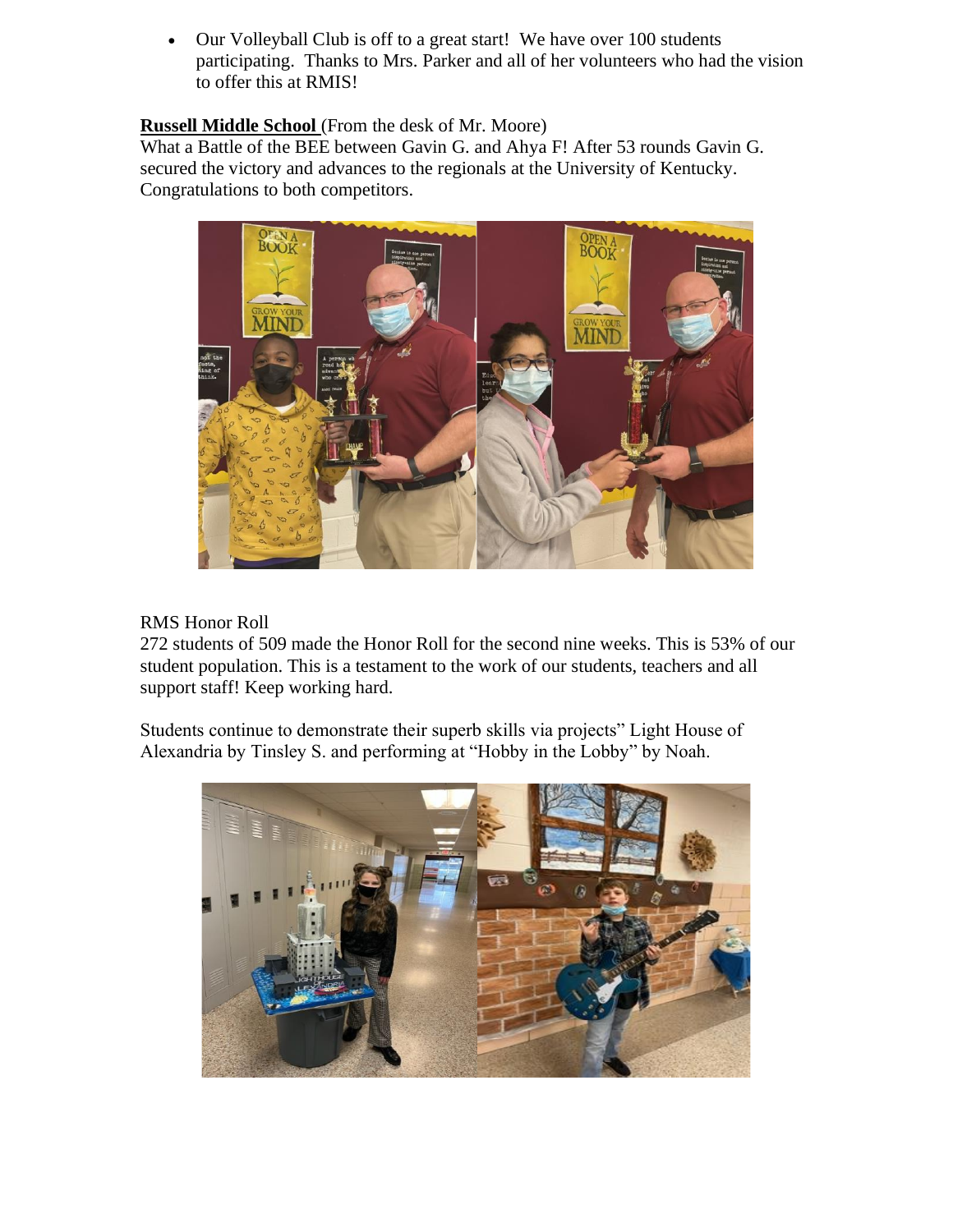• Our Volleyball Club is off to a great start! We have over 100 students participating. Thanks to Mrs. Parker and all of her volunteers who had the vision to offer this at RMIS!

### **Russell Middle School** (From the desk of Mr. Moore)

What a Battle of the BEE between Gavin G. and Ahya F! After 53 rounds Gavin G. secured the victory and advances to the regionals at the University of Kentucky. Congratulations to both competitors.



### RMS Honor Roll

272 students of 509 made the Honor Roll for the second nine weeks. This is 53% of our student population. This is a testament to the work of our students, teachers and all support staff! Keep working hard.

Students continue to demonstrate their superb skills via projects" Light House of Alexandria by Tinsley S. and performing at "Hobby in the Lobby" by Noah.

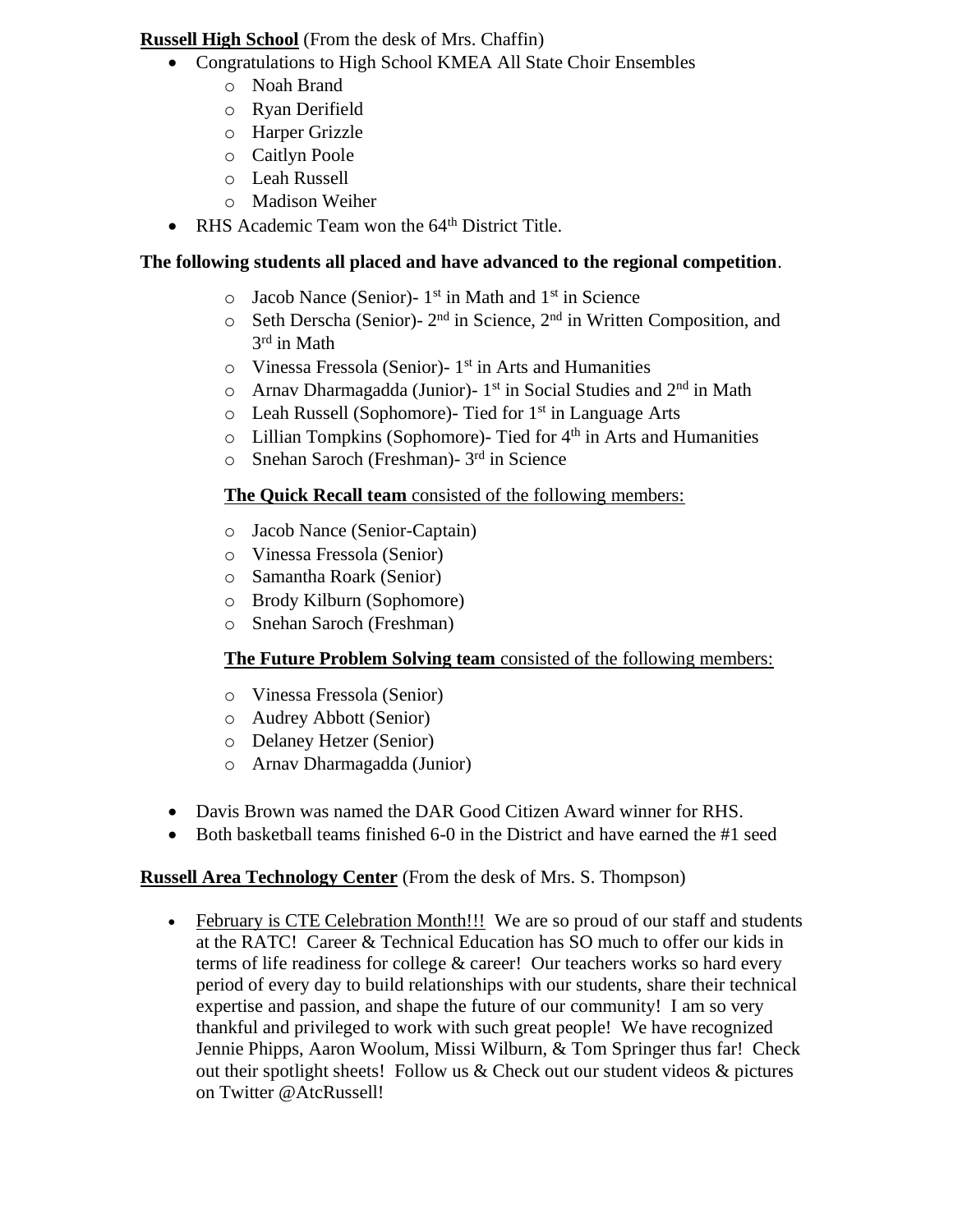### **Russell High School** (From the desk of Mrs. Chaffin)

- Congratulations to High School KMEA All State Choir Ensembles
	- o Noah Brand
	- o Ryan Derifield
	- o Harper Grizzle
	- o Caitlyn Poole
	- o Leah Russell
	- o Madison Weiher
- RHS Academic Team won the 64<sup>th</sup> District Title.

## **The following students all placed and have advanced to the regional competition**.

- $\circ$  Jacob Nance (Senior)- 1<sup>st</sup> in Math and 1<sup>st</sup> in Science
- o Seth Derscha (Senior)- 2 nd in Science, 2nd in Written Composition, and 3 rd in Math
- o Vinessa Fressola (Senior)- 1 st in Arts and Humanities
- $\circ$  Arnav Dharmagadda (Junior)- 1<sup>st</sup> in Social Studies and  $2<sup>nd</sup>$  in Math
- $\circ$  Leah Russell (Sophomore)- Tied for 1<sup>st</sup> in Language Arts
- $\circ$  Lillian Tompkins (Sophomore)- Tied for  $4<sup>th</sup>$  in Arts and Humanities
- o Snehan Saroch (Freshman)- 3 rd in Science

## **The Quick Recall team** consisted of the following members:

- o Jacob Nance (Senior-Captain)
- o Vinessa Fressola (Senior)
- o Samantha Roark (Senior)
- o Brody Kilburn (Sophomore)
- o Snehan Saroch (Freshman)

# **The Future Problem Solving team** consisted of the following members:

- o Vinessa Fressola (Senior)
- o Audrey Abbott (Senior)
- o Delaney Hetzer (Senior)
- o Arnav Dharmagadda (Junior)
- Davis Brown was named the DAR Good Citizen Award winner for RHS.
- Both basketball teams finished 6-0 in the District and have earned the #1 seed

# **Russell Area Technology Center** (From the desk of Mrs. S. Thompson)

• February is CTE Celebration Month!!! We are so proud of our staff and students at the RATC! Career & Technical Education has SO much to offer our kids in terms of life readiness for college & career! Our teachers works so hard every period of every day to build relationships with our students, share their technical expertise and passion, and shape the future of our community! I am so very thankful and privileged to work with such great people! We have recognized Jennie Phipps, Aaron Woolum, Missi Wilburn, & Tom Springer thus far! Check out their spotlight sheets! Follow us & Check out our student videos & pictures on Twitter @AtcRussell!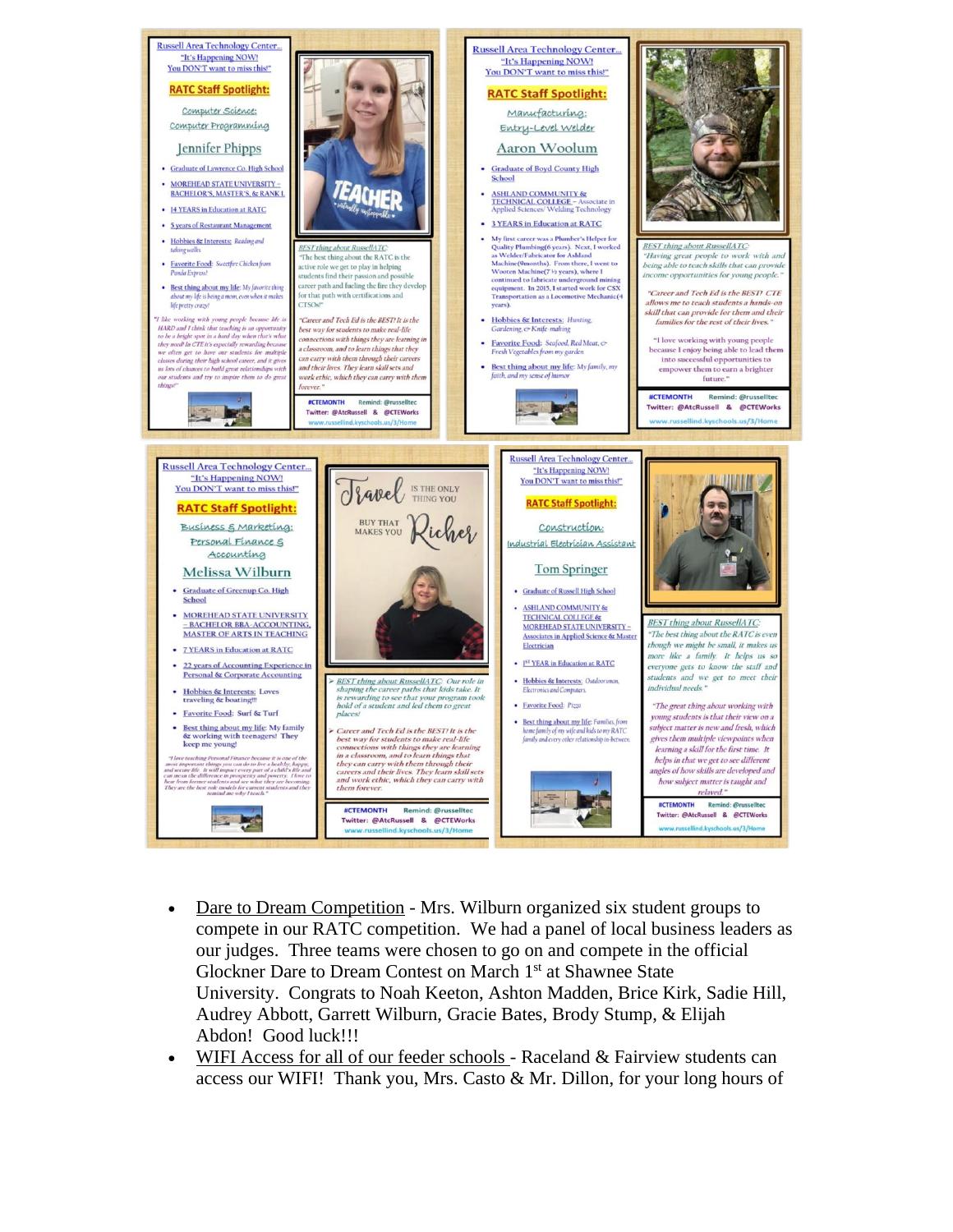

- Dare to Dream Competition Mrs. Wilburn organized six student groups to compete in our RATC competition. We had a panel of local business leaders as our judges. Three teams were chosen to go on and compete in the official Glockner Dare to Dream Contest on March 1<sup>st</sup> at Shawnee State University. Congrats to Noah Keeton, Ashton Madden, Brice Kirk, Sadie Hill, Audrey Abbott, Garrett Wilburn, Gracie Bates, Brody Stump, & Elijah Abdon! Good luck!!!
- WIFI Access for all of our feeder schools Raceland & Fairview students can access our WIFI! Thank you, Mrs. Casto  $\&$  Mr. Dillon, for your long hours of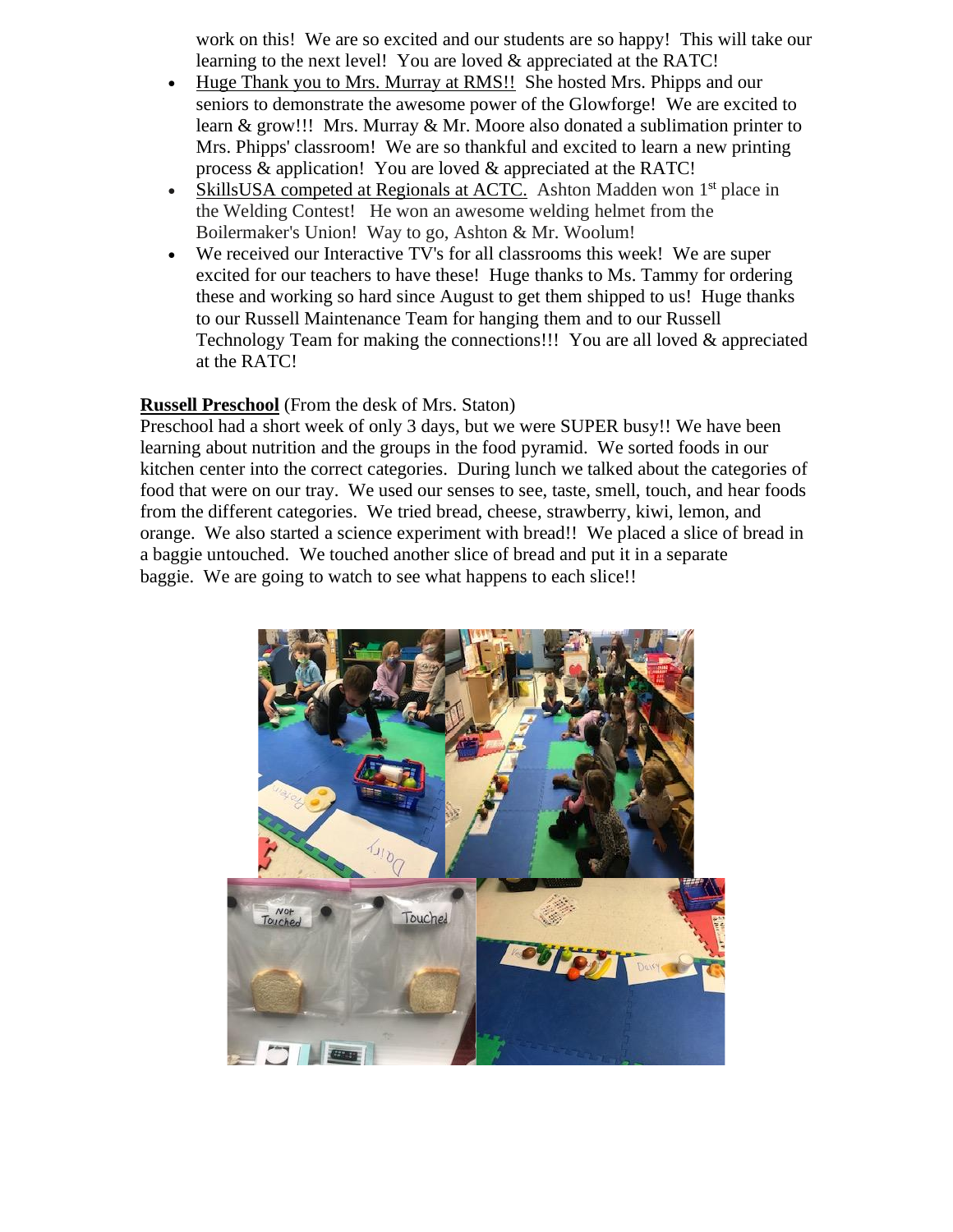work on this! We are so excited and our students are so happy! This will take our learning to the next level! You are loved & appreciated at the RATC!

- Huge Thank you to Mrs. Murray at RMS!! She hosted Mrs. Phipps and our seniors to demonstrate the awesome power of the Glowforge! We are excited to learn & grow!!! Mrs. Murray & Mr. Moore also donated a sublimation printer to Mrs. Phipps' classroom! We are so thankful and excited to learn a new printing process & application! You are loved & appreciated at the RATC!
- SkillsUSA competed at Regionals at ACTC. Ashton Madden won 1<sup>st</sup> place in the Welding Contest! He won an awesome welding helmet from the Boilermaker's Union! Way to go, Ashton & Mr. Woolum!
- We received our Interactive TV's for all classrooms this week! We are super excited for our teachers to have these! Huge thanks to Ms. Tammy for ordering these and working so hard since August to get them shipped to us! Huge thanks to our Russell Maintenance Team for hanging them and to our Russell Technology Team for making the connections!!! You are all loved & appreciated at the RATC!

#### **Russell Preschool** (From the desk of Mrs. Staton)

Preschool had a short week of only 3 days, but we were SUPER busy!! We have been learning about nutrition and the groups in the food pyramid. We sorted foods in our kitchen center into the correct categories. During lunch we talked about the categories of food that were on our tray. We used our senses to see, taste, smell, touch, and hear foods from the different categories. We tried bread, cheese, strawberry, kiwi, lemon, and orange. We also started a science experiment with bread!! We placed a slice of bread in a baggie untouched. We touched another slice of bread and put it in a separate baggie. We are going to watch to see what happens to each slice!!